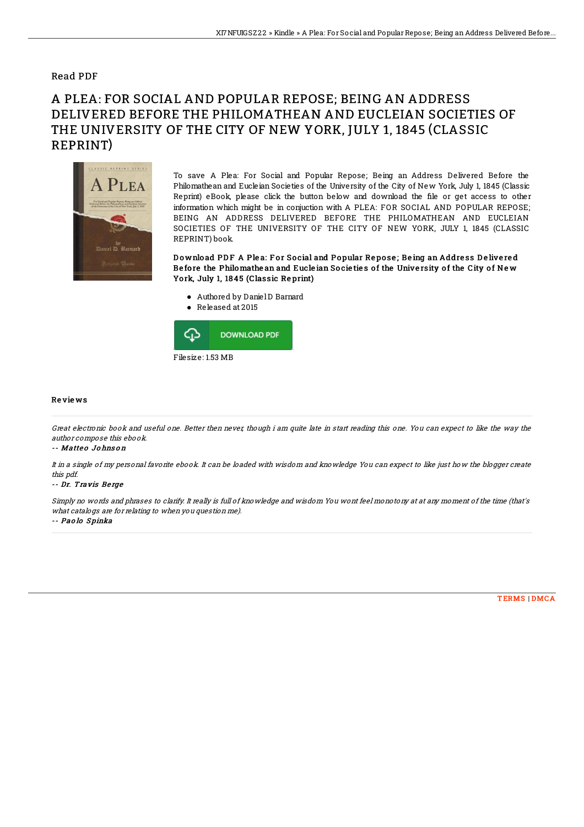### Read PDF

# A PLEA: FOR SOCIAL AND POPULAR REPOSE; BEING AN ADDRESS DELIVERED BEFORE THE PHILOMATHEAN AND EUCLEIAN SOCIETIES OF THE UNIVERSITY OF THE CITY OF NEW YORK, JULY 1, 1845 (CLASSIC REPRINT)



To save A Plea: For Social and Popular Repose; Being an Address Delivered Before the Philomathean and Eucleian Societies of the University of the City of New York, July 1, 1845 (Classic Reprint) eBook, please click the button below and download the file or get access to other information which might be in conjuction with A PLEA: FOR SOCIAL AND POPULAR REPOSE; BEING AN ADDRESS DELIVERED BEFORE THE PHILOMATHEAN AND EUCLEIAN SOCIETIES OF THE UNIVERSITY OF THE CITY OF NEW YORK, JULY 1, 1845 (CLASSIC REPRINT) book.

Download PDF A Plea: For Social and Popular Repose; Being an Address Delivered Be fore the Philomathe an and Eucle ian Societies of the University of the City of New Yo rk, July 1, 18 45 (Classic Re print)

- Authored by DanielD Barnard
- Released at 2015



#### Re vie ws

Great electronic book and useful one. Better then never, though i am quite late in start reading this one. You can expect to like the way the author compose this ebook.

#### -- Matteo Johnson

It in <sup>a</sup> single of my personal favorite ebook. It can be loaded with wisdom and knowledge You can expect to like just how the blogger create this pdf.

#### -- Dr. Travis Be rge

Simply no words and phrases to clarify. It really is full of knowledge and wisdom You wont feel monotony at at any moment of the time (that's what catalogs are for relating to when you question me). -- Paolo Spinka